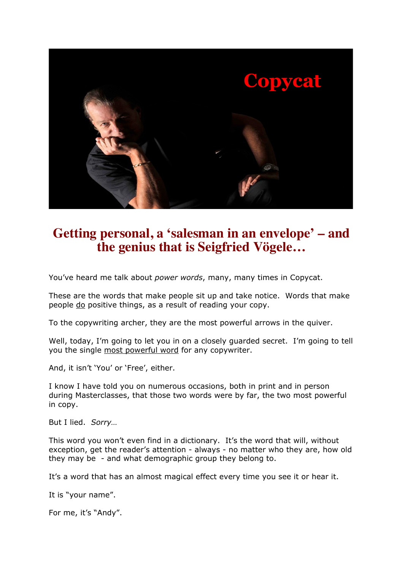

## **Getting personal, a 'salesman in an envelope' – and the genius that is Seigfried Vögele…**

You've heard me talk about *power words*, many, many times in Copycat.

These are the words that make people sit up and take notice. Words that make people do positive things, as a result of reading your copy.

To the copywriting archer, they are the most powerful arrows in the quiver.

Well, today, I'm going to let you in on a closely guarded secret. I'm going to tell you the single most powerful word for any copywriter.

And, it isn't 'You' or 'Free', either.

I know I have told you on numerous occasions, both in print and in person during Masterclasses, that those two words were by far, the two most powerful in copy.

But I lied. *Sorry…*

This word you won't even find in a dictionary. It's the word that will, without exception, get the reader's attention - always - no matter who they are, how old they may be - and what demographic group they belong to.

It's a word that has an almost magical effect every time you see it or hear it.

It is "your name".

For me, it's "Andy".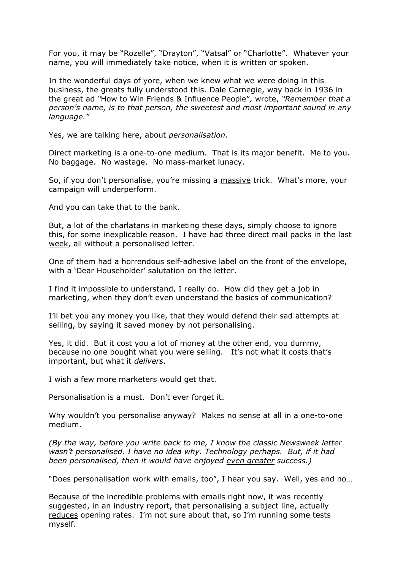For you, it may be "Rozelle", "Drayton", "Vatsal" or "Charlotte". Whatever your name, you will immediately take notice, when it is written or spoken.

In the wonderful days of yore, when we knew what we were doing in this business, the greats fully understood this. Dale Carnegie, way back in 1936 in the great ad *"*How to Win Friends & Influence People"*,* wrote, *"Remember that a person's name, is to that person, the sweetest and most important sound in any language."*

Yes, we are talking here, about *personalisation.*

Direct marketing is a one-to-one medium. That is its major benefit. Me to you. No baggage. No wastage. No mass-market lunacy.

So, if you don't personalise, you're missing a massive trick. What's more, your campaign will underperform.

And you can take that to the bank.

But, a lot of the charlatans in marketing these days, simply choose to ignore this, for some inexplicable reason. I have had three direct mail packs in the last week, all without a personalised letter.

One of them had a horrendous self-adhesive label on the front of the envelope, with a 'Dear Householder' salutation on the letter.

I find it impossible to understand, I really do. How did they get a job in marketing, when they don't even understand the basics of communication?

I'll bet you any money you like, that they would defend their sad attempts at selling, by saying it saved money by not personalising.

Yes, it did. But it cost you a lot of money at the other end, you dummy, because no one bought what you were selling. It's not what it costs that's important, but what it *delivers*.

I wish a few more marketers would get that.

Personalisation is a must. Don't ever forget it.

Why wouldn't you personalise anyway? Makes no sense at all in a one-to-one medium.

*(By the way, before you write back to me, I know the classic Newsweek letter wasn't personalised. I have no idea why. Technology perhaps. But, if it had been personalised, then it would have enjoyed even greater success.)*

"Does personalisation work with emails, too", I hear you say. Well, yes and no…

Because of the incredible problems with emails right now, it was recently suggested, in an industry report, that personalising a subject line, actually reduces opening rates. I'm not sure about that, so I'm running some tests myself.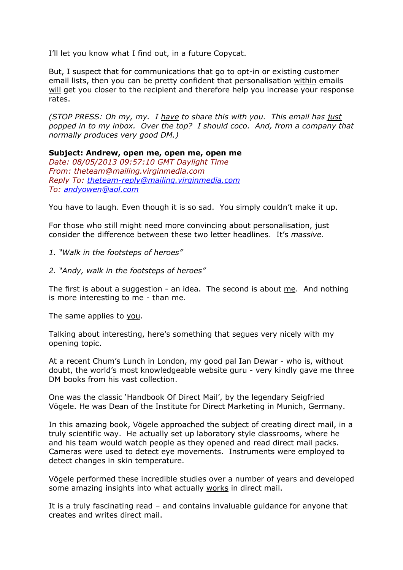I'll let you know what I find out, in a future Copycat.

But, I suspect that for communications that go to opt-in or existing customer email lists, then you can be pretty confident that personalisation within emails will get you closer to the recipient and therefore help you increase your response rates.

*(STOP PRESS: Oh my, my. I have to share this with you. This email has just popped in to my inbox. Over the top? I should coco. And, from a company that normally produces very good DM.)*

**Subject: Andrew, open me, open me, open me** *Date: 08/05/2013 09:57:10 GMT Daylight Time From: theteam@mailing.virginmedia.com Reply To: theteam-reply@mailing.virginmedia.com To: andyowen@aol.com*

You have to laugh. Even though it is so sad. You simply couldn't make it up.

For those who still might need more convincing about personalisation, just consider the difference between these two letter headlines. It's *massive*.

- *1. "Walk in the footsteps of heroes"*
- *2. "Andy, walk in the footsteps of heroes"*

The first is about a suggestion - an idea. The second is about  $me$ . And nothing is more interesting to me - than me.

The same applies to you.

Talking about interesting, here's something that segues very nicely with my opening topic.

At a recent Chum's Lunch in London, my good pal Ian Dewar - who is, without doubt, the world's most knowledgeable website guru - very kindly gave me three DM books from his vast collection.

One was the classic 'Handbook Of Direct Mail', by the legendary Seigfried Vögele. He was Dean of the Institute for Direct Marketing in Munich, Germany.

In this amazing book, Vögele approached the subject of creating direct mail, in a truly scientific way. He actually set up laboratory style classrooms, where he and his team would watch people as they opened and read direct mail packs. Cameras were used to detect eye movements. Instruments were employed to detect changes in skin temperature.

Vögele performed these incredible studies over a number of years and developed some amazing insights into what actually works in direct mail.

It is a truly fascinating read – and contains invaluable guidance for anyone that creates and writes direct mail.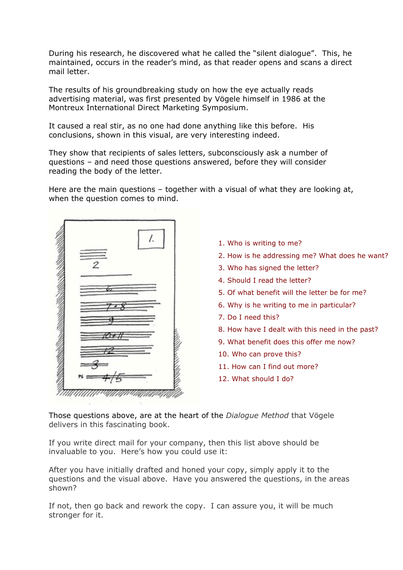During his research, he discovered what he called the "silent dialogue". This, he maintained, occurs in the reader's mind, as that reader opens and scans a direct mail letter.

The results of his groundbreaking study on how the eye actually reads advertising material, was first presented by Vögele himself in 1986 at the Montreux International Direct Marketing Symposium.

It caused a real stir, as no one had done anything like this before. His conclusions, shown in this visual, are very interesting indeed.

They show that recipients of sales letters, subconsciously ask a number of questions – and need those questions answered, before they will consider reading the body of the letter.

Here are the main questions – together with a visual of what they are looking at, when the question comes to mind.



- 1. Who is writing to me?
- 2. How is he addressing me? What does he want?
- 3. Who has signed the letter?
- 4. Should I read the letter?
- 5. Of what benefit will the letter be for me?
- 6. Why is he writing to me in particular?
- 7. Do I need this?
- 8. How have I dealt with this need in the past?
- 9. What benefit does this offer me now?
- 10. Who can prove this?
- 11. How can I find out more?
- 12. What should I do?

Those questions above, are at the heart of the *Dialogue Method* that Vögele delivers in this fascinating book.

If you write direct mail for your company, then this list above should be invaluable to you. Here's how you could use it:

After you have initially drafted and honed your copy, simply apply it to the questions and the visual above. Have you answered the questions, in the areas shown?

If not, then go back and rework the copy. I can assure you, it will be much stronger for it.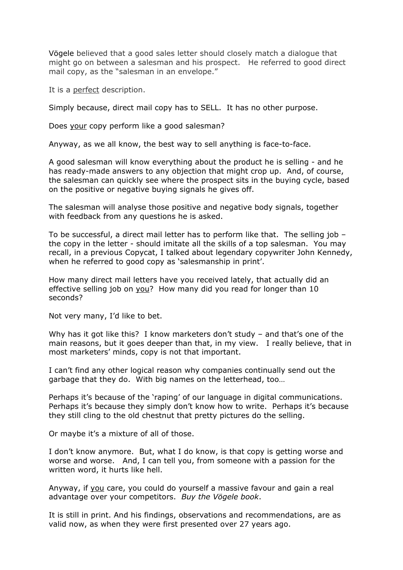Vögele believed that a good sales letter should closely match a dialogue that might go on between a salesman and his prospect. He referred to good direct mail copy, as the "salesman in an envelope."

It is a perfect description.

Simply because, direct mail copy has to SELL. It has no other purpose.

Does your copy perform like a good salesman?

Anyway, as we all know, the best way to sell anything is face-to-face.

A good salesman will know everything about the product he is selling - and he has ready-made answers to any objection that might crop up. And, of course, the salesman can quickly see where the prospect sits in the buying cycle, based on the positive or negative buying signals he gives off.

The salesman will analyse those positive and negative body signals, together with feedback from any questions he is asked.

To be successful, a direct mail letter has to perform like that. The selling job – the copy in the letter - should imitate all the skills of a top salesman. You may recall, in a previous Copycat, I talked about legendary copywriter John Kennedy, when he referred to good copy as 'salesmanship in print'.

How many direct mail letters have you received lately, that actually did an effective selling job on you? How many did you read for longer than 10 seconds?

Not very many, I'd like to bet.

Why has it got like this? I know marketers don't study - and that's one of the main reasons, but it goes deeper than that, in my view. I really believe, that in most marketers' minds, copy is not that important.

I can't find any other logical reason why companies continually send out the garbage that they do. With big names on the letterhead, too…

Perhaps it's because of the 'raping' of our language in digital communications. Perhaps it's because they simply don't know how to write. Perhaps it's because they still cling to the old chestnut that pretty pictures do the selling.

Or maybe it's a mixture of all of those.

I don't know anymore. But, what I do know, is that copy is getting worse and worse and worse. And, I can tell you, from someone with a passion for the written word, it hurts like hell.

Anyway, if you care, you could do yourself a massive favour and gain a real advantage over your competitors. *Buy the Vögele book*.

It is still in print. And his findings, observations and recommendations, are as valid now, as when they were first presented over 27 years ago.